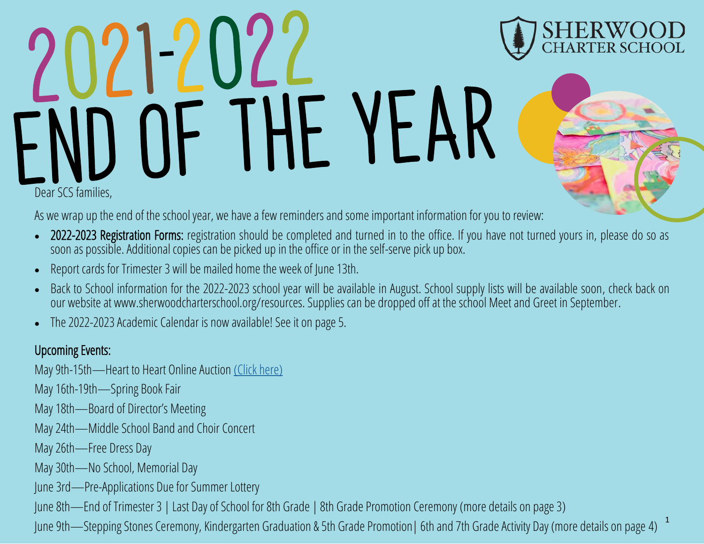# YF AI Dear SCS families,

As we wrap up the end of the school year, we have a few reminders and some important information for you to review:

- 2022-2023 Registration Forms: registration should be completed and turned in to the office. If you have not turned yours in, please do so as soon as possible. Additional copies can be picked up in the office or in the self-serve pick up box.
- Report cards for Trimester 3 will be mailed home the week of June 13th.
- Back to School information for the 2022-2023 school year will be available in August. School supply lists will be available soon, check back on our website at www.sherwoodcharterschool.org/resources. Supplies can be dropped off at the school Meet and Greet in September.
- The 2022-2023 Academic Calendar is now available! See it on page 5.

### Upcoming Events:

May 9th-15th—Heart to Heart Online Auction [\(Click here\)](https://event.auctria.com/a3509cf1-8457-4d8a-9f35-b8a55f1b3790/)

May 16th-19th—Spring Book Fair

May 18th—Board of Director's Meeting

May 24th—Middle School Band and Choir Concert

May 26th—Free Dress Day

May 30th—No School, Memorial Day

June 3rd—Pre-Applications Due for Summer Lottery

June 8th—End of Trimester 3 | Last Day of School for 8th Grade | 8th Grade Promotion Ceremony (more details on page 3)

1 June 9th—Stepping Stones Ceremony, Kindergarten Graduation & 5th Grade Promotion| 6th and 7th Grade Activity Day (more details on page 4)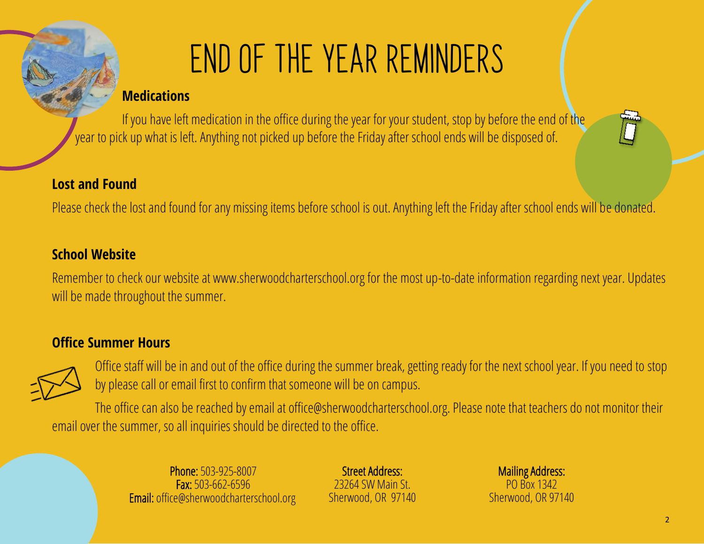# END OF THE YEAR REMINDERS

### **Medications**

If you have left medication in the office during the year for your student, stop by before the end of the year to pick up what is left. Anything not picked up before the Friday after school ends will be disposed of.

### **Lost and Found**

Please check the lost and found for any missing items before school is out. Anything left the Friday after school ends will be donated.

### **School Website**

Remember to check our website at www.sherwoodcharterschool.org for the most up-to-date information regarding next year. Updates will be made throughout the summer.

### **Office Summer Hours**



Office staff will be in and out of the office during the summer break, getting ready for the next school year. If you need to stop by please call or email first to confirm that someone will be on campus.

The office can also be reached by email at office@sherwoodcharterschool.org. Please note that teachers do not monitor their email over the summer, so all inquiries should be directed to the office.

> Phone: 503-925-8007 Fax: 503-662-6596  $\overline{)}$ Email: office@sherwoodcharterschool.org

Street Address: 23264 SW Main St. Sherwood, OR 97140

Mailing Address: PO Box 1342<br>Sherwood, OR 97140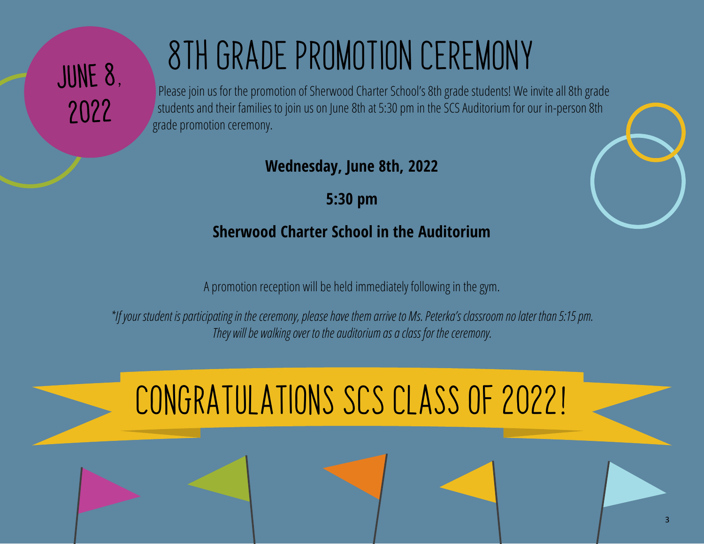# JUNE 8. 2022

# 8TH GRADE PROMOTION CEREMONY

Please join us for the promotion of Sherwood Charter School's 8th grade students! We invite all 8th grade students and their families to join us on June 8th at 5:30 pm in the SCS Auditorium for our in-person 8th grade promotion ceremony.

**Wednesday, June 8th, 2022**

**5:30 pm**

# **Sherwood Charter School in the Auditorium**

A promotion reception will be held immediately following in the gym.

*\*If your student is participating in the ceremony, please have them arrive to Ms. Peterka's classroom no later than 5:15 pm. They will be walking over to the auditorium as a class for the ceremony.*

# Congratulations SCS Class of 2022**!**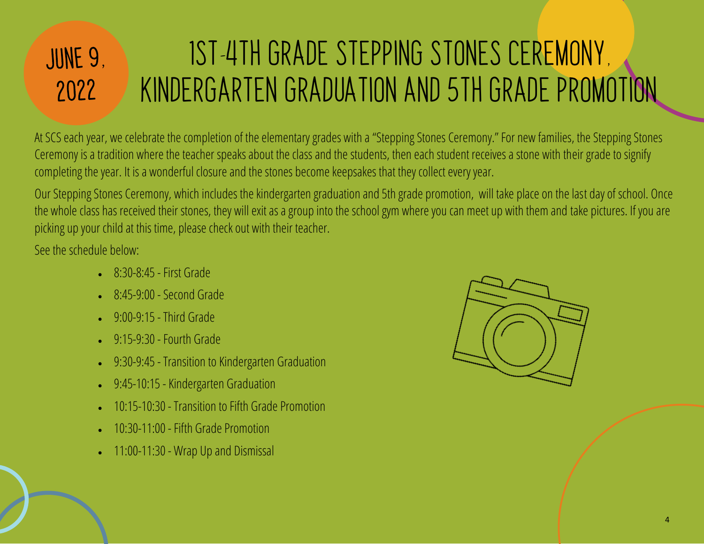# 1ST-4TH GRADE STEPPING STONES CEREMONY, JUNE 9, KINDERGARTEN GRADUATION AND 5TH GRADE PROMOTION2022

At SCS each year, we celebrate the completion of the elementary grades with a "Stepping Stones Ceremony." For new families, the Stepping Stones Ceremony is a tradition where the teacher speaks about the class and the students, then each student receives a stone with their grade to signify completing the year. It is a wonderful closure and the stones become keepsakes that they collect every year.

Our Stepping Stones Ceremony, which includes the kindergarten graduation and 5th grade promotion, will take place on the last day of school. Once the whole class has received their stones, they will exit as a group into the school gym where you can meet up with them and take pictures. If you are picking up your child at this time, please check out with their teacher.

See the schedule below:

- 8:30-8:45 First Grade
- 8:45-9:00 Second Grade
- 9:00-9:15 Third Grade
- 9:15-9:30 Fourth Grade
- 9:30-9:45 Transition to Kindergarten Graduation
- 9:45-10:15 Kindergarten Graduation
- 10:15-10:30 Transition to Fifth Grade Promotion
- 10:30-11:00 Fifth Grade Promotion
- 11:00-11:30 Wrap Up and Dismissal

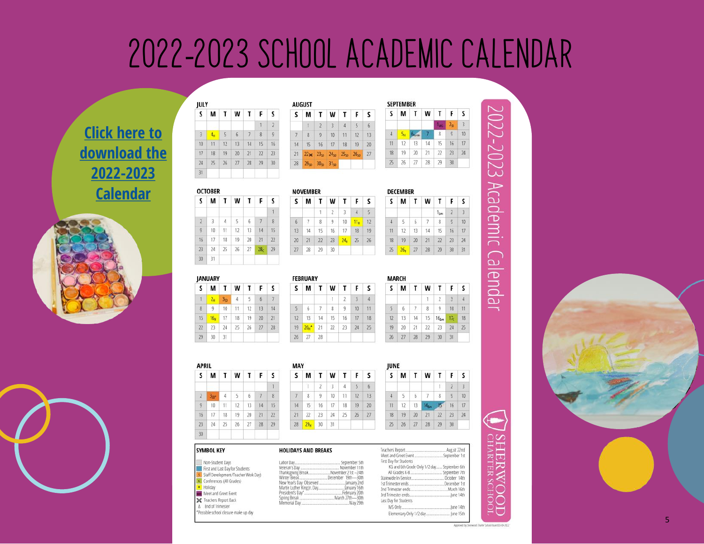# 2022-2023 SCHOOL ACADEMIC CALENDAR

**[Click here to](https://sherwoodcharterschool.org/wp-content/uploads/2022/03/3_2_Sherwood-Charter-School-Academic-Calendar-22-23.pdf)  [download the](https://sherwoodcharterschool.org/wp-content/uploads/2022/03/3_2_Sherwood-Charter-School-Academic-Calendar-22-23.pdf)  2022-[2023](https://sherwoodcharterschool.org/wp-content/uploads/2022/03/3_2_Sherwood-Charter-School-Academic-Calendar-22-23.pdf)  [Calendar](https://sherwoodcharterschool.org/wp-content/uploads/2022/03/3_2_Sherwood-Charter-School-Academic-Calendar-22-23.pdf)**





| JULY           |                 |    | AUGUST |    |                |                |                |                  |                  |
|----------------|-----------------|----|--------|----|----------------|----------------|----------------|------------------|------------------|
| s              | M               |    | W      |    | F              | S              | S              | M                | Τ                |
|                |                 |    |        |    | $\overline{1}$ | $\overline{2}$ |                |                  | $\overline{2}$   |
| $\overline{3}$ | 4 <sub>14</sub> | 5  | 6      | 7  | 8              | 9              | $\overline{7}$ | $\overline{8}$   | 9                |
| 10             | 11              | 12 | 13     | 14 | 15             | 16             | 14             | 15               | 16               |
| 17             | 18              | 19 | 20     | 21 | 22             | 23             | 21             | 22 <sub>x</sub>  | 23 <sub>5</sub>  |
| 24             | 25              | 26 | 27     | 28 | 29             | 30             | 28             | 29 <sub>50</sub> | 30 <sub>51</sub> |
| 31             |                 |    |        |    |                |                |                |                  |                  |

JULY

 $\overline{31}$ 

 $2$  $\overline{\mathbf{3}}$ 

 $\overline{9}$  $10<sup>°</sup>$ 

 $16$  $17$ 

 $\overline{23}$  $24\,$ 

 $30$  $31$ 

**JANUARY** 

S M

 $1\frac{24}{2}$ 

 $\begin{array}{c|c|c|c|c} \hline \rule{0pt}{1em} & \rule{0pt}{2.5cm} & \rule{0pt}{2.5cm} & \rule{0pt}{2.5cm} & \rule{0pt}{2.5cm} & \rule{0pt}{2.5cm} & \rule{0pt}{2.5cm} & \rule{0pt}{2.5cm} & \rule{0pt}{2.5cm} & \rule{0pt}{2.5cm} & \rule{0pt}{2.5cm} & \rule{0pt}{2.5cm} & \rule{0pt}{2.5cm} & \rule{0pt}{2.5cm} & \rule{0pt}{2.5cm} & \rule{0pt}{2.5cm} & \rule{0pt}{2.5cm} &$ 

 $15 - \frac{16}{16}$ 

 $29 \t 30$ 

 $\overline{22}$  $\overline{23}$ 

**SYMBOL KEY** 

**OCTOBER** S M

| s  | M | ा                             | W     | T. | F                                                                          | s              |
|----|---|-------------------------------|-------|----|----------------------------------------------------------------------------|----------------|
|    |   | $\mathcal{V}$                 | s     |    | $\frac{1}{2}$                                                              | $\overline{6}$ |
| 7  | 8 | 9                             | 10    | 11 | 12                                                                         | 13             |
| 14 |   | 15 16                         | 17 18 |    | 19                                                                         | 20             |
| 21 |   |                               |       |    | 22x 23 <sub>50</sub> 24 <sub>50</sub> 25 <sub>50</sub> 26 <sub>50</sub> 27 |                |
| 28 |   | $29_{50}$ $30_{50}$ $31_{50}$ |       |    |                                                                            |                |

W T F

 $10 - 11_B$  $9$ 

 $\overline{2}$  $\overline{3}$  $\overline{4}$ 

 $30<sup>°</sup>$ 

 $16$  17  $18$ 

 $23$   $24_H$  25

 $F S$  $5\qquad 6$ 

 $12 \quad 13$  $19$  20

 $26 \ 27$ 

| s  | M              |    | W       | т    | F.              | S  |
|----|----------------|----|---------|------|-----------------|----|
|    |                |    |         | Tuc. | 2 <sub>SD</sub> | 3  |
| 4  | 5 <sub>H</sub> |    |         | 8    | 9               | 10 |
| 11 | 12             | 13 | 14      | 15   | 16              | 17 |
| 18 | 19             | 20 | 21<br>t | 22   | 23              | 24 |
| 25 | $26 -$         | 27 | 28      | 29   | 30              |    |

|    |    |    |                 |    |    | <b>NOVEMBER</b> |    |  |  |
|----|----|----|-----------------|----|----|-----------------|----|--|--|
| T  | W  |    | F               | S  | s  | М               | т  |  |  |
|    |    |    |                 | 1  |    |                 |    |  |  |
| 4  | 5  | 6  |                 | 8  | 6  | $\overline{7}$  | 8  |  |  |
| 11 | 12 | 13 | 14              | 15 | 侈  | 14              | 15 |  |  |
| 18 | 19 | 20 | 21              | 22 | 20 | 21              | 22 |  |  |
| 25 | 26 | 27 | 28 <sub>r</sub> | 29 | 27 | 28              | 29 |  |  |
|    |    |    |                 |    |    |                 |    |  |  |

|                |    | <b>DECEMBER</b> |    |                |          |                |                |  |  |  |  |
|----------------|----|-----------------|----|----------------|----------|----------------|----------------|--|--|--|--|
| S              | S  | М               | т  | W              | Т        | F              | s              |  |  |  |  |
| $\overline{5}$ |    |                 |    |                | $1_{km}$ | $\overline{2}$ | $\overline{3}$ |  |  |  |  |
| 12             | 4  |                 | 6  | $\overline{7}$ | 8        | $\ddot{9}$     | 10             |  |  |  |  |
| 19             | 11 | 12              | 13 | 14             | 15       | 16             | 17             |  |  |  |  |
| 26             | 18 | 19              | 20 | 21             | 22       | 23             | 24             |  |  |  |  |
|                | 25 | 26 <sub>H</sub> | 27 | 28             | 29       | 30             | 31             |  |  |  |  |

**SEPTEMBER** 

 $\overline{25}$ 

**TENNIS** 

|                |         |    |    |    |    | <b>FEBRUARY</b> |    |    |    |    |  |
|----------------|---------|----|----|----|----|-----------------|----|----|----|----|--|
| Т              | w       |    |    |    |    | M               | T  | W  | T  | г  |  |
| 3 <sub>5</sub> | 4       |    | 6  |    |    |                 |    |    | 2  |    |  |
| 10             | 11<br>÷ | 12 | 13 | 14 | 5  | 6               | 7  | 8  | 9  | 10 |  |
| 17             | 18      | 19 | 20 | 21 | 12 | 13              | 14 | 15 | 16 | 17 |  |
| 24             | 25      | 26 | 27 | 28 | 19 | 20 <sub>H</sub> | 21 | 22 | 23 | 24 |  |
| 31             |         |    |    |    | 26 | 27              | 28 |    |    |    |  |

|     |               |               |    | MAKLH |    |     |    |                  |                 |                 |
|-----|---------------|---------------|----|-------|----|-----|----|------------------|-----------------|-----------------|
| W   |               | F             | S  | s     | M  | Т   | W  | -1               |                 | -S.             |
|     | $\mathcal{F}$ | $\rightarrow$ | 4  |       |    |     |    | Σ.               | $\overline{3}$  | 4               |
| 8   | 9             | 10            | 11 | 5     | 6  | -7. | 8  | 9                | 10              | $\overline{11}$ |
| 15  | 16            | 17            | 18 | 12    | 13 | 14  | 15 | 16 <sub>bm</sub> | 17 <sub>c</sub> | 18              |
| 22. | 23            | 24            | 25 | 19    | 20 | 21  | 22 | -23              | 24              | 25              |
|     |               |               |    | 26    | 27 | 28  | 29 | 30               | 31              |                 |

| <b>APRIL</b>   |                 |    |     |    |    | <b>MAY</b> |    |                 |                |                 |    |
|----------------|-----------------|----|-----|----|----|------------|----|-----------------|----------------|-----------------|----|
| S              | M               | т  | W   | Т  | F  | s          | s  | M               | Τ              | W               | Т  |
|                |                 |    |     |    |    | Л          |    | 1               | $\overline{2}$ | 3               | 4  |
| $\overline{2}$ | 3 <sub>50</sub> | 4  | 5   | 6  | 7  | 8          | 7  | 8               | $\overline{9}$ | 10              | 11 |
| $\overline{9}$ | 10              | 11 | 12  | 13 | 14 | 15         | 14 | 15              | 16             | 17 <sup>°</sup> | 18 |
| 16             | 17              | 18 | -19 | 20 | 21 | 22         | 21 | 22              | 23             | 24              | 25 |
| 23             | 24              | 25 | 26  | 27 | 28 | 29         | 28 | 29 <sub>H</sub> | 30             | 31              |    |
| 30             |                 |    |     |    |    |            |    |                 |                |                 |    |

| S  | М               | τ  | W   | т  | F              | S  |
|----|-----------------|----|-----|----|----------------|----|
|    |                 |    |     | T. | $\overline{2}$ | 3  |
|    |                 | 6. | 7   | 8  | 9              | 10 |
| 11 | 12 <sup>2</sup> | 13 | Khu |    | 16             | 17 |
| 18 | 19              | 20 | 21  | 22 | 23             | 24 |
| 25 | 26              | 27 | 28  | 29 | 30             |    |

| SYMBOL KEY                                                                                                                                                                                                                                             | <b>HOLIDAYS AND BREAKS</b> |                                                                                                |
|--------------------------------------------------------------------------------------------------------------------------------------------------------------------------------------------------------------------------------------------------------|----------------------------|------------------------------------------------------------------------------------------------|
| Non-Student Days<br>First and Last Day for Students<br>5 Staff Development/Teacher Work Davi<br>Conferences (All Grades)<br>H Holiday<br>Meet and Greet Event<br>Se Teachers Report Back<br>A End of Trimester<br>*Possible school closure make up day |                            | First Day for Students<br>KG and 6th Grade Only 1/2 day September 6th<br>Last Day for Students |

# 2022-2023 Academic Calendar



HER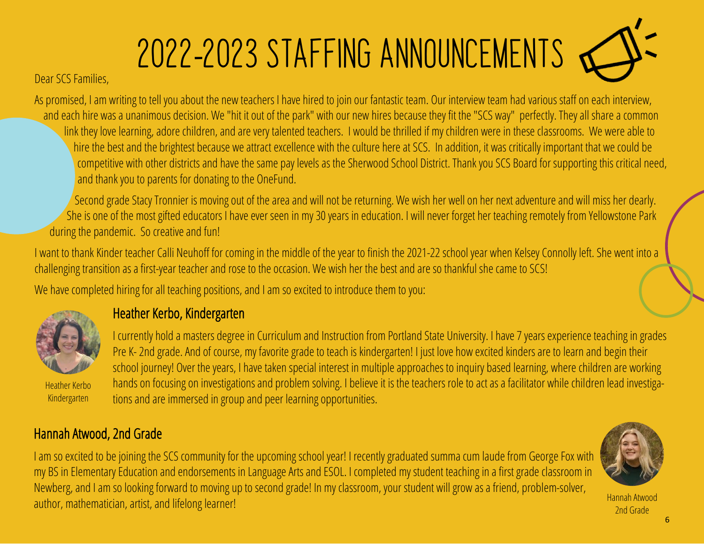# 2022-2023 STAFFING ANNOUNCEMENTS

Dear SCS Families,

As promised, I am writing to tell you about the new teachers I have hired to join our fantastic team. Our interview team had various staff on each interview, and each hire was a unanimous decision. We "hit it out of the park" with our new hires because they fit the "SCS way" perfectly. They all share a common link they love learning, adore children, and are very talented teachers. I would be thrilled if my children were in these classrooms. We were able to hire the best and the brightest because we attract excellence with the culture here at SCS. In addition, it was critically important that we could be competitive with other districts and have the same pay levels as the Sherwood School District. Thank you SCS Board for supporting this critical need, and thank you to parents for donating to the OneFund.

Second grade Stacy Tronnier is moving out of the area and will not be returning. We wish her well on her next adventure and will miss her dearly. She is one of the most gifted educators I have ever seen in my 30 years in education. I will never forget her teaching remotely from Yellowstone Park during the pandemic. So creative and fun!

I want to thank Kinder teacher Calli Neuhoff for coming in the middle of the year to finish the 2021-22 school year when Kelsey Connolly left. She went into a challenging transition as a first-year teacher and rose to the occasion. We wish her the best and are so thankful she came to SCS!

We have completed hiring for all teaching positions, and I am so excited to introduce them to you:



Heather Kerbo Kindergarten

## Heather Kerbo, Kindergarten

I currently hold a masters degree in Curriculum and Instruction from Portland State University. I have 7 years experience teaching in grades Pre K- 2nd grade. And of course, my favorite grade to teach is kindergarten! I just love how excited kinders are to learn and begin their school journey! Over the years, I have taken special interest in multiple approaches to inquiry based learning, where children are working hands on focusing on investigations and problem solving. I believe it is the teachers role to act as a facilitator while children lead investigations and are immersed in group and peer learning opportunities.

## Hannah Atwood, 2nd Grade

I am so excited to be joining the SCS community for the upcoming school year! I recently graduated summa cum laude from George Fox with my BS in Elementary Education and endorsements in Language Arts and ESOL. I completed my student teaching in a first grade classroom in Newberg, and I am so looking forward to moving up to second grade! In my classroom, your student will grow as a friend, problem-solver, author, mathematician, artist, and lifelong learner!



Hannah Atwood 2nd Grade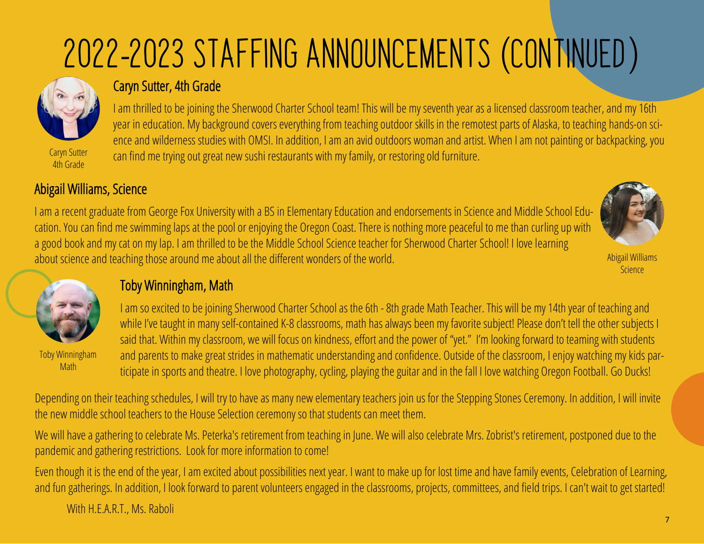# <sup>2022</sup>-2023 STAFFING ANNOUNCEMENTS (CONTINUED)



### Caryn Sutter, 4th Grade

I am thrilled to be joining the Sherwood Charter School team! This will be my seventh year as a licensed classroom teacher, and my 16th year in education. My background covers everything from teaching outdoor skills in the remotest parts of Alaska, to teaching hands-on science and wilderness studies with OMSI. In addition, I am an avid outdoors woman and artist. When I am not painting or backpacking, you can find me trying out great new sushi restaurants with my family, or restoring old furniture.

### Abigail Williams, Science

I am a recent graduate from George Fox University with a BS in Elementary Education and endorsements in Science and Middle School Education. You can find me swimming laps at the pool or enjoying the Oregon Coast. There is nothing more peaceful to me than curling up with a good book and my cat on my lap. I am thrilled to be the Middle School Science teacher for Sherwood Charter School! I love learning about science and teaching those around me about all the different wonders of the world.



Abigail Williams **Science** 



Toby Winningham **Math** 

# Toby Winningham, Math

I am so excited to be joining Sherwood Charter School as the 6th - 8th grade Math Teacher. This will be my 14th year of teaching and while I've taught in many self-contained K-8 classrooms, math has always been my favorite subject! Please don't tell the other subjects I said that. Within my classroom, we will focus on kindness, effort and the power of "yet." I'm looking forward to teaming with students and parents to make great strides in mathematic understanding and confidence. Outside of the classroom, I enjoy watching my kids participate in sports and theatre. I love photography, cycling, playing the guitar and in the fall I love watching Oregon Football. Go Ducks!

Depending on their teaching schedules, I will try to have as many new elementary teachers join us for the Stepping Stones Ceremony. In addition, I will invite the new middle school teachers to the House Selection ceremony so that students can meet them.

We will have a gathering to celebrate Ms. Peterka's retirement from teaching in June. We will also celebrate Mrs. Zobrist's retirement, postponed due to the pandemic and gathering restrictions. Look for more information to come!

Even though it is the end of the year, I am excited about possibilities next year. I want to make up for lost time and have family events, Celebration of Learning, and fun gatherings. In addition, I look forward to parent volunteers engaged in the classrooms, projects, committees, and field trips. I can't wait to get started!